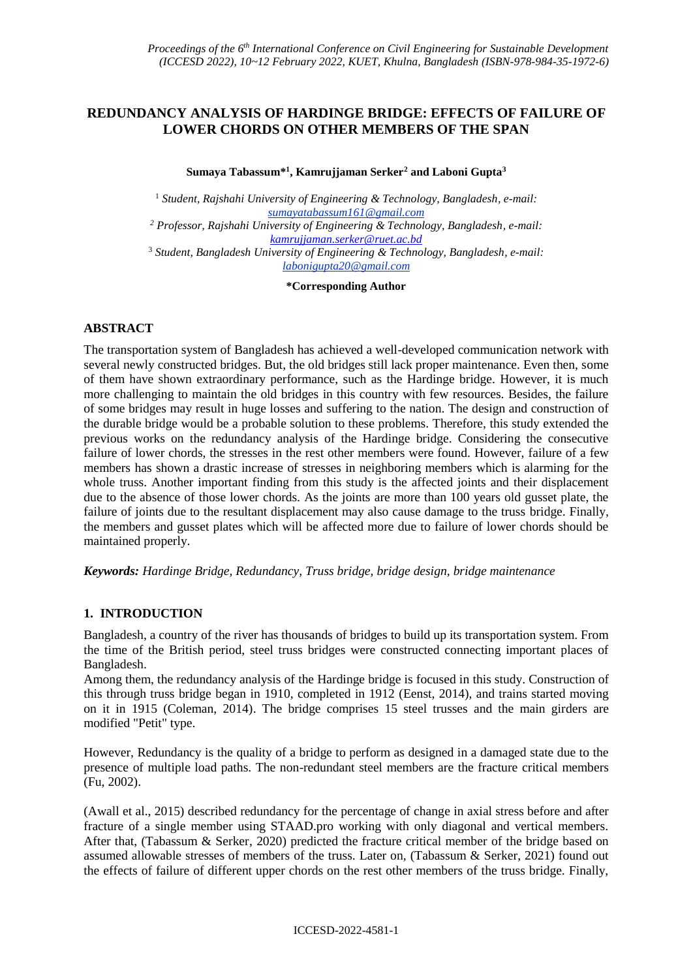# **REDUNDANCY ANALYSIS OF HARDINGE BRIDGE: EFFECTS OF FAILURE OF LOWER CHORDS ON OTHER MEMBERS OF THE SPAN**

#### **Sumaya Tabassum\* 1 , Kamrujjaman Serker<sup>2</sup> and Laboni Gupta<sup>3</sup>**

<sup>1</sup> *Student, Rajshahi University of Engineering & Technology, Bangladesh, e-mail: sumayatabassum161@gmail.com <sup>2</sup> Professor, Rajshahi University of Engineering & Technology, Bangladesh, e-mail: [kamrujjaman.serker@ruet.ac.bd](mailto:kamrujjaman.serker@ruet.ac.bd)* <sup>3</sup> *Student, Bangladesh University of Engineering & Technology, Bangladesh, e-mail: labonigupta20@gmail.com*

**\*Corresponding Author**

## **ABSTRACT**

The transportation system of Bangladesh has achieved a well-developed communication network with several newly constructed bridges. But, the old bridges still lack proper maintenance. Even then, some of them have shown extraordinary performance, such as the Hardinge bridge. However, it is much more challenging to maintain the old bridges in this country with few resources. Besides, the failure of some bridges may result in huge losses and suffering to the nation. The design and construction of the durable bridge would be a probable solution to these problems. Therefore, this study extended the previous works on the redundancy analysis of the Hardinge bridge. Considering the consecutive failure of lower chords, the stresses in the rest other members were found. However, failure of a few members has shown a drastic increase of stresses in neighboring members which is alarming for the whole truss. Another important finding from this study is the affected joints and their displacement due to the absence of those lower chords. As the joints are more than 100 years old gusset plate, the failure of joints due to the resultant displacement may also cause damage to the truss bridge. Finally, the members and gusset plates which will be affected more due to failure of lower chords should be maintained properly.

*Keywords: Hardinge Bridge, Redundancy, Truss bridge, bridge design, bridge maintenance* 

# **1. INTRODUCTION**

Bangladesh, a country of the river has thousands of bridges to build up its transportation system. From the time of the British period, steel truss bridges were constructed connecting important places of Bangladesh.

Among them, the redundancy analysis of the Hardinge bridge is focused in this study. Construction of this through truss bridge began in 1910, completed in 1912 (Eenst, 2014), and trains started moving on it in 1915 (Coleman, 2014). The bridge comprises 15 steel trusses and the main girders are modified "Petit" type.

However, Redundancy is the quality of a bridge to perform as designed in a damaged state due to the presence of multiple load paths. The non-redundant steel members are the fracture critical members (Fu, 2002).

(Awall et al., 2015) described redundancy for the percentage of change in axial stress before and after fracture of a single member using STAAD.pro working with only diagonal and vertical members. After that, (Tabassum & Serker, 2020) predicted the fracture critical member of the bridge based on assumed allowable stresses of members of the truss. Later on, (Tabassum & Serker, 2021) found out the effects of failure of different upper chords on the rest other members of the truss bridge. Finally,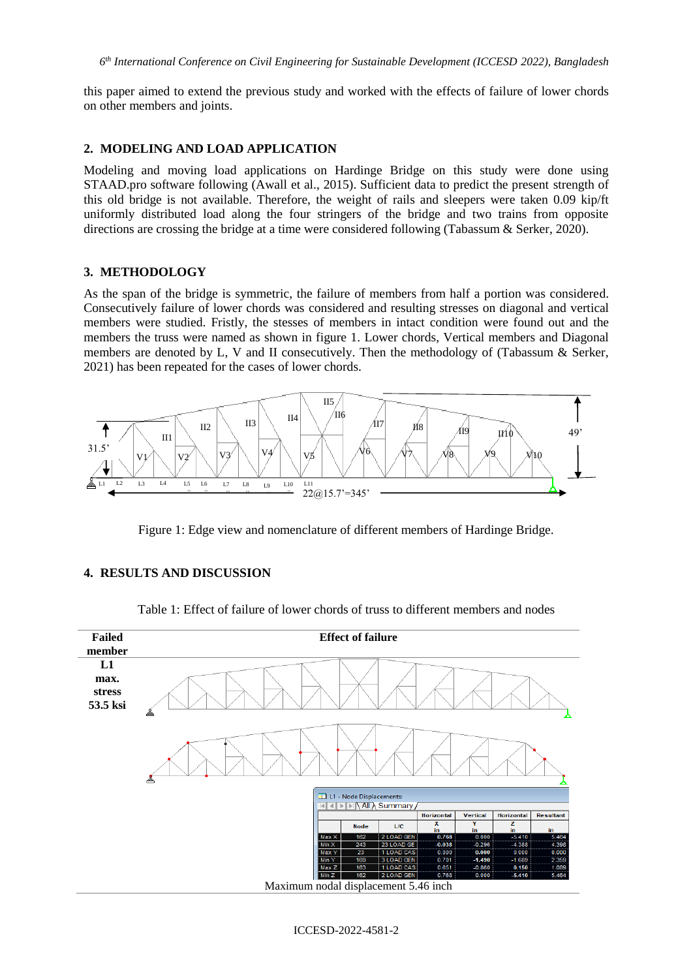this paper aimed to extend the previous study and worked with the effects of failure of lower chords on other members and joints.

## **2. MODELING AND LOAD APPLICATION**

Modeling and moving load applications on Hardinge Bridge on this study were done using STAAD.pro software following (Awall et al., 2015). Sufficient data to predict the present strength of this old bridge is not available. Therefore, the weight of rails and sleepers were taken 0.09 kip/ft uniformly distributed load along the four stringers of the bridge and two trains from opposite directions are crossing the bridge at a time were considered following (Tabassum & Serker, 2020).

## **3. METHODOLOGY**

As the span of the bridge is symmetric, the failure of members from half a portion was considered. Consecutively failure of lower chords was considered and resulting stresses on diagonal and vertical members were studied. Fristly, the stesses of members in intact condition were found out and the members the truss were named as shown in figure 1. Lower chords, Vertical members and Diagonal members are denoted by L, V and II consecutively. Then the methodology of (Tabassum & Serker, 2021) has been repeated for the cases of lower chords.



Figure 1: Edge view and nomenclature of different members of Hardinge Bridge.

### **4. RESULTS AND DISCUSSION**

| <b>Failed</b>                    | <b>Effect of failure</b>                                                                                                              |
|----------------------------------|---------------------------------------------------------------------------------------------------------------------------------------|
| member                           |                                                                                                                                       |
| L1<br>max.<br>stress<br>53.5 ksi | ▵                                                                                                                                     |
|                                  |                                                                                                                                       |
|                                  | L1 - Node Displacements:<br>囯                                                                                                         |
|                                  | $\triangleright$ $\triangleright$ $\triangleright$ $\triangle$ All $\triangle$ Summary /                                              |
|                                  | Horizontal<br>Horizontal<br><b>Vertical</b><br><b>Resultant</b>                                                                       |
|                                  | X<br>Y<br>$\overline{z}$<br>L/C<br><b>Node</b>                                                                                        |
|                                  | in<br>in<br>in<br>in<br>162                                                                                                           |
|                                  | 5.464<br>2 LOAD GEN<br>0.768<br>0.000<br>$-5.410$<br>Max X<br>4.398<br>23 LOAD GE<br>$-0.038$<br>$-0.296$<br>$-4.388$<br>243<br>Min X |
|                                  | 1 LOAD CAS<br>0.000<br>23<br>0.000<br>0.000<br>0.000<br>Max Y                                                                         |
|                                  | 3 LOAD GEN<br>2.359<br>169<br>0.701<br>$-1.490$<br>$-1.689$<br>Min Y                                                                  |
|                                  | 1 LOAD CAS<br>0.651<br>$-0.860$<br>0.150<br>1.089<br>163<br>Max Z                                                                     |
|                                  | Min Z<br>162<br>5.464<br>2 LOAD GEN<br>0.768<br>0.000<br>$-5.410$                                                                     |
|                                  | Maximum nodal displacement 5.46 inch                                                                                                  |

Table 1: Effect of failure of lower chords of truss to different members and nodes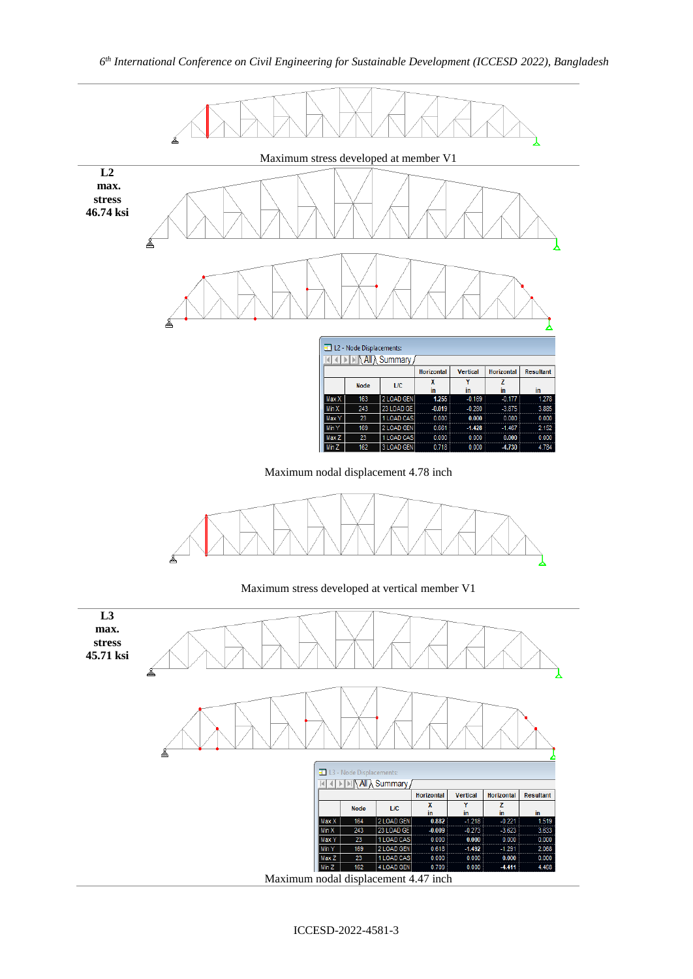

Maximum nodal displacement 4.78 inch



Maximum stress developed at vertical member V1

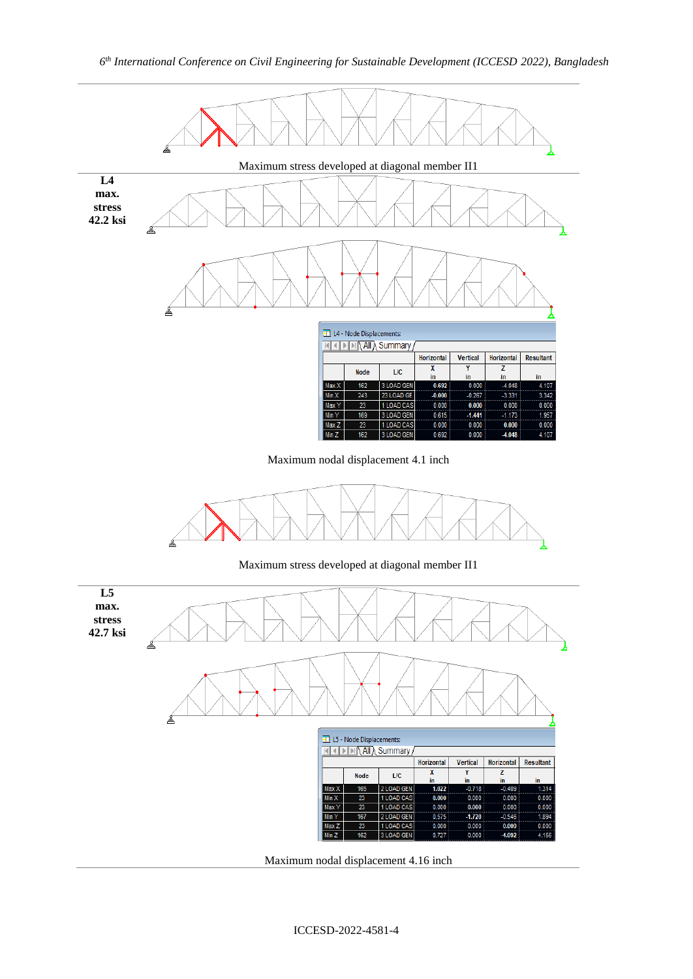

Maximum nodal displacement 4.16 inch

- 23

167

23

 $162$ 

Max Y

Min Y  $Max Z$ 

 $Min Z$ 

1 LOAD CAS

2 LOAD GEN

1 LOAD CAS

3 LOAD GEN

 $0.000$ 

0.575

 $0.000$ 

 $0.727$ 

 $-1.720$ 

 $0.000$ 

 $0.000$ 

 $-0.546$ 

 $0.000$ 

 $-4.09$ 

 $0.000$ 

1.894

 $0.000$ 

4.156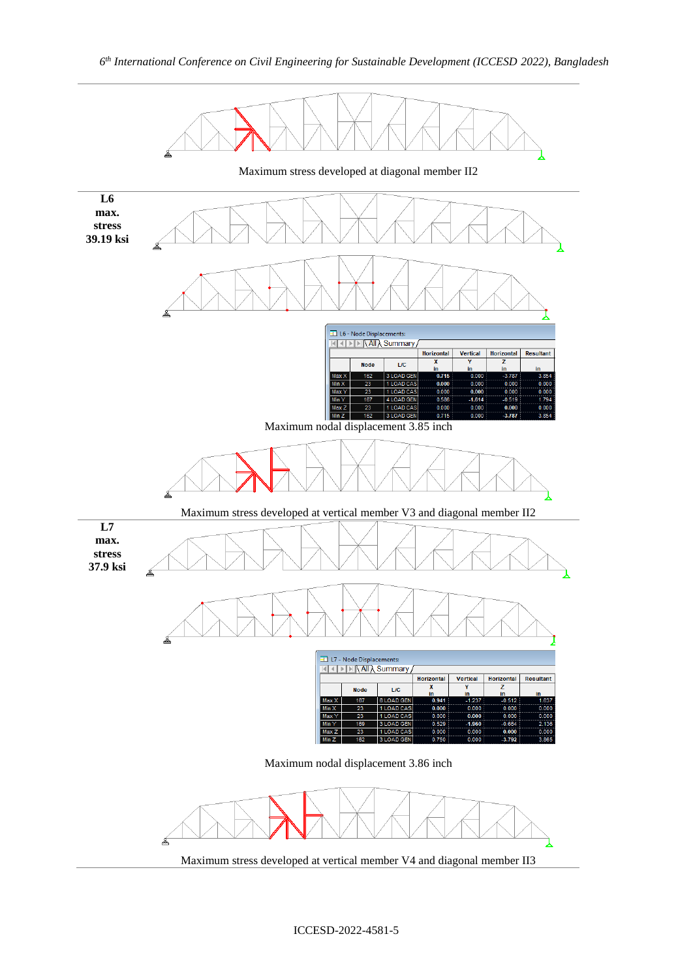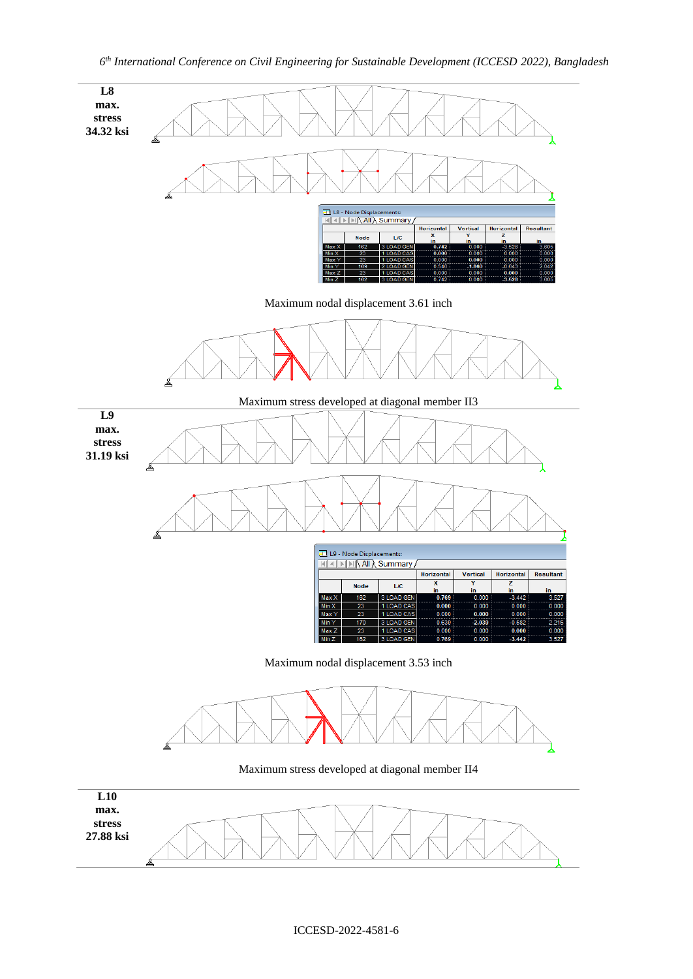

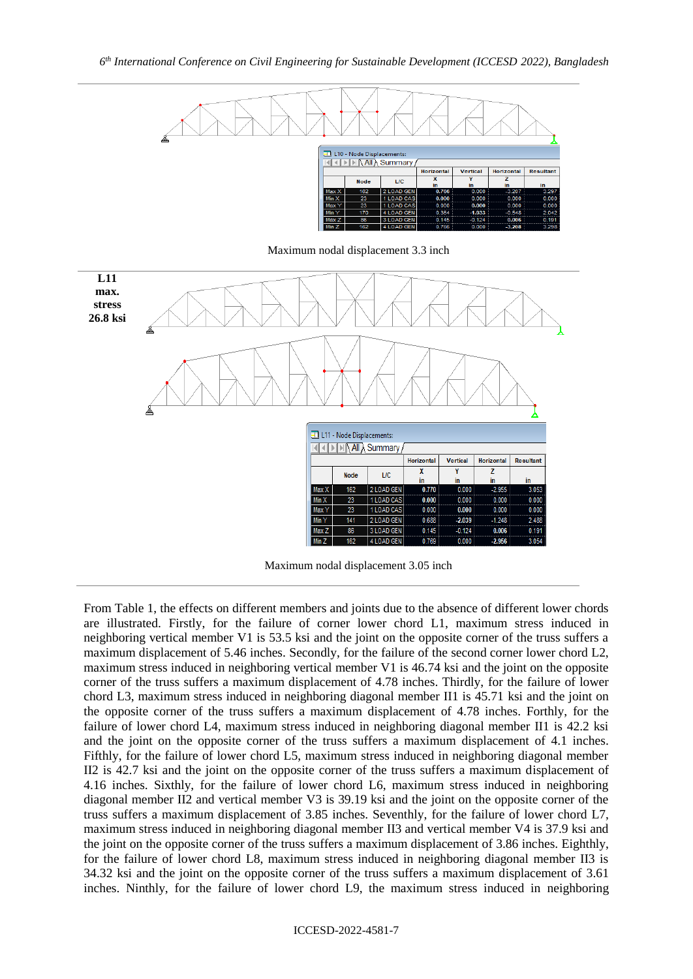

Maximum nodal displacement 3.3 inch



Maximum nodal displacement 3.05 inch

From Table 1, the effects on different members and joints due to the absence of different lower chords are illustrated. Firstly, for the failure of corner lower chord L1, maximum stress induced in neighboring vertical member V1 is 53.5 ksi and the joint on the opposite corner of the truss suffers a maximum displacement of 5.46 inches. Secondly, for the failure of the second corner lower chord L2, maximum stress induced in neighboring vertical member V1 is 46.74 ksi and the joint on the opposite corner of the truss suffers a maximum displacement of 4.78 inches. Thirdly, for the failure of lower chord L3, maximum stress induced in neighboring diagonal member II1 is 45.71 ksi and the joint on the opposite corner of the truss suffers a maximum displacement of 4.78 inches. Forthly, for the failure of lower chord L4, maximum stress induced in neighboring diagonal member II1 is 42.2 ksi and the joint on the opposite corner of the truss suffers a maximum displacement of 4.1 inches. Fifthly, for the failure of lower chord L5, maximum stress induced in neighboring diagonal member II2 is 42.7 ksi and the joint on the opposite corner of the truss suffers a maximum displacement of 4.16 inches. Sixthly, for the failure of lower chord L6, maximum stress induced in neighboring diagonal member II2 and vertical member V3 is 39.19 ksi and the joint on the opposite corner of the truss suffers a maximum displacement of 3.85 inches. Seventhly, for the failure of lower chord L7, maximum stress induced in neighboring diagonal member II3 and vertical member V4 is 37.9 ksi and the joint on the opposite corner of the truss suffers a maximum displacement of 3.86 inches. Eighthly, for the failure of lower chord L8, maximum stress induced in neighboring diagonal member II3 is 34.32 ksi and the joint on the opposite corner of the truss suffers a maximum displacement of 3.61 inches. Ninthly, for the failure of lower chord L9, the maximum stress induced in neighboring